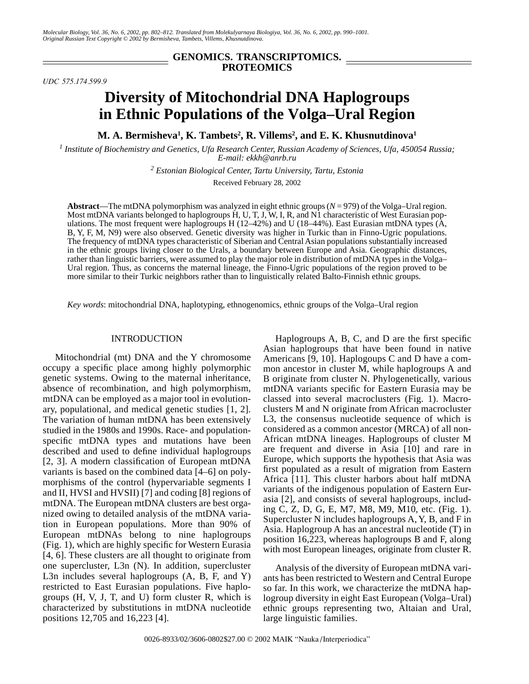## **GENOMICS. TRANSCRIPTOMICS. PROTEOMICS**

*UDC 575.174.599.9*

# **Diversity of Mitochondrial DNA Haplogroups in Ethnic Populations of the Volga–Ural Region**

**M. A. Bermisheva1 , K. Tambets2 , R. Villems2 , and E. K. Khusnutdinova1**

*1 Institute of Biochemistry and Genetics, Ufa Research Center, Russian Academy of Sciences, Ufa, 450054 Russia; E-mail: ekkh@anrb.ru*

*2 Estonian Biological Center, Tartu University, Tartu, Estonia*

Received February 28, 2002

**Abstract**—The mtDNA polymorphism was analyzed in eight ethnic groups (*N* = 979) of the Volga–Ural region. Most mtDNA variants belonged to haplogroups H, U, T, J, W, I, R, and N1 characteristic of West Eurasian populations. The most frequent were haplogroups H ( $12-42\%$ ) and U ( $18-44\%$ ). East Eurasian mtDNA types ( $\hat{A}$ , B, Y, F, M, N9) were also observed. Genetic diversity was higher in Turkic than in Finno-Ugric populations. The frequency of mtDNA types characteristic of Siberian and Central Asian populations substantially increased in the ethnic groups living closer to the Urals, a boundary between Europe and Asia. Geographic distances, rather than linguistic barriers, were assumed to play the major role in distribution of mtDNA types in the Volga– Ural region. Thus, as concerns the maternal lineage, the Finno-Ugric populations of the region proved to be more similar to their Turkic neighbors rather than to linguistically related Balto-Finnish ethnic groups.

*Key words*: mitochondrial DNA, haplotyping, ethnogenomics, ethnic groups of the Volga–Ural region

#### INTRODUCTION

Mitochondrial (mt) DNA and the Y chromosome occupy a specific place among highly polymorphic genetic systems. Owing to the maternal inheritance, absence of recombination, and high polymorphism, mtDNA can be employed as a major tool in evolutionary, populational, and medical genetic studies [1, 2]. The variation of human mtDNA has been extensively studied in the 1980s and 1990s. Race- and populationspecific mtDNA types and mutations have been described and used to define individual haplogroups [2, 3]. A modern classification of European mtDNA variants is based on the combined data [4–6] on polymorphisms of the control (hypervariable segments I and II, HVSI and HVSII) [7] and coding [8] regions of mtDNA. The European mtDNA clusters are best organized owing to detailed analysis of the mtDNA variation in European populations. More than 90% of European mtDNAs belong to nine haplogroups (Fig. 1), which are highly specific for Western Eurasia [4, 6]. These clusters are all thought to originate from one supercluster, L3n (N). In addition, supercluster L3n includes several haplogroups  $(A, B, F, and Y)$ restricted to East Eurasian populations. Five haplogroups (H, V, J, T, and U) form cluster R, which is characterized by substitutions in mtDNA nucleotide positions 12,705 and 16,223 [4].

Haplogroups A, B, C, and D are the first specific Asian haplogroups that have been found in native Americans [9, 10]. Haplogoups C and D have a common ancestor in cluster M, while haplogroups A and B originate from cluster N. Phylogenetically, various mtDNA variants specific for Eastern Eurasia may be classed into several macroclusters (Fig. 1). Macroclusters M and N originate from African macrocluster L3, the consensus nucleotide sequence of which is considered as a common ancestor (MRCA) of all non-African mtDNA lineages. Haplogroups of cluster M are frequent and diverse in Asia [10] and rare in Europe, which supports the hypothesis that Asia was first populated as a result of migration from Eastern Africa [11]. This cluster harbors about half mtDNA variants of the indigenous population of Eastern Eurasia [2], and consists of several haplogroups, including C, Z, D, G, E, M7, M8, M9, M10, etc. (Fig. 1). Supercluster N includes haplogroups A, Y, B, and F in Asia. Haplogroup A has an ancestral nucleotide (T) in position 16,223, whereas haplogroups B and F, along with most European lineages, originate from cluster R.

Analysis of the diversity of European mtDNA variants has been restricted to Western and Central Europe so far. In this work, we characterize the mtDNA haplogroup diversity in eight East European (Volga–Ural) ethnic groups representing two, Altaian and Ural, large linguistic families.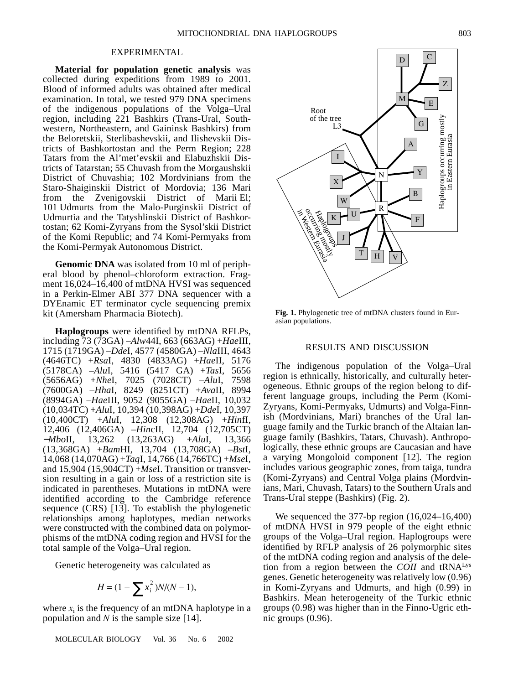#### EXPERIMENTAL

**Material for population genetic analysis** was collected during expeditions from 1989 to 2001. Blood of informed adults was obtained after medical examination. In total, we tested 979 DNA specimens of the indigenous populations of the Volga–Ural region, including 221 Bashkirs (Trans-Ural, Southwestern, Northeastern, and Gaininsk Bashkirs) from the Beloretskii, Sterlibashevskii, and Ilishevskii Districts of Bashkortostan and the Perm Region; 228 Tatars from the Al'met'evskii and Elabuzhskii Districts of Tatarstan; 55 Chuvash from the Morgaushskii District of Chuvashia; 102 Mordvinians from the Staro-Shaiginskii District of Mordovia; 136 Mari from the Zvenigovskii District of Marii El; 101 Udmurts from the Malo-Purginskii District of Udmurtia and the Tatyshlinskii District of Bashkortostan; 62 Komi-Zyryans from the Sysol'skii District of the Komi Republic; and 74 Komi-Permyaks from the Komi-Permyak Autonomous District.

**Genomic DNA** was isolated from 10 ml of peripheral blood by phenol–chloroform extraction. Fragment 16,024–16,400 of mtDNA HVSI was sequenced in a Perkin-Elmer ABI 377 DNA sequencer with a DYEnamic ET terminator cycle sequencing premix kit (Amersham Pharmacia Biotech).

**Haplogroups** were identified by mtDNA RFLPs, including 73 (73GA) –*Alw*44I, 663 (663AG) +*Hae*III, 1715 (1719GA) –*Dde*I, 4577 (4580GA) –*Nla*III, 4643 (4646TC) +*Rsa*I, 4830 (4833AG) +*Hae*II, 5176 (5178CA) –*Alu*I, 5416 (5417 GA) +*Tas*I, 5656 (5656AG) +*Nhe*I, 7025 (7028CT) –*Alu*I, 7598 (7600GA) –*Hha*I, 8249 (8251CT) +*Ava*II, 8994 (8994GA) –*Hae*III, 9052 (9055GA) –*Hae*II, 10,032 (10,034TC) +*Alu*I, 10,394 (10,398AG) +*Dde*I, 10,397 (10,400CT) +*Alu*I, 12,308 (12,308AG) +*Hin*fI, 12,406 (12,406GA) –*Hin*cII, 12,704 (12,705CT) −*Mbo*II, 13,262 (13,263AG) +*Alu*I, 13,366 (13,368GA) +*Bam*HI, 13,704 (13,708GA) –*Bst*I, 14,068 (14,070AG) +*Taq*I, 14,766 (14,766TC) +*Mse*I, and 15,904 (15,904CT) +*Mse*I. Transition or transversion resulting in a gain or loss of a restriction site is indicated in parentheses. Mutations in mtDNA were identified according to the Cambridge reference sequence (CRS) [13]. To establish the phylogenetic relationships among haplotypes, median networks were constructed with the combined data on polymorphisms of the mtDNA coding region and HVSI for the total sample of the Volga–Ural region.

Genetic heterogeneity was calculated as

$$
H = (1 - \sum x_i^2)N/(N - 1),
$$

where  $x_i$  is the frequency of an mtDNA haplotype in a population and *N* is the sample size [14].

MOLECULAR BIOLOGY Vol. 36 No. 6 2002



**Fig. 1.** Phylogenetic tree of mtDNA clusters found in Eurasian populations.

### RESULTS AND DISCUSSION

The indigenous population of the Volga–Ural region is ethnically, historically, and culturally heterogeneous. Ethnic groups of the region belong to different language groups, including the Perm (Komi-Zyryans, Komi-Permyaks, Udmurts) and Volga-Finnish (Mordvinians, Mari) branches of the Ural language family and the Turkic branch of the Altaian language family (Bashkirs, Tatars, Chuvash). Anthropologically, these ethnic groups are Caucasian and have a varying Mongoloid component [12]. The region includes various geographic zones, from taiga, tundra (Komi-Zyryans) and Central Volga plains (Mordvinians, Mari, Chuvash, Tatars) to the Southern Urals and Trans-Ural steppe (Bashkirs) (Fig. 2).

We sequenced the 377-bp region  $(16,024-16,400)$ of mtDNA HVSI in 979 people of the eight ethnic groups of the Volga–Ural region. Haplogroups were identified by RFLP analysis of 26 polymorphic sites of the mtDNA coding region and analysis of the deletion from a region between the *COII* and tRNALys genes. Genetic heterogeneity was relatively low (0.96) in Komi-Zyryans and Udmurts, and high (0.99) in Bashkirs. Mean heterogeneity of the Turkic ethnic groups (0.98) was higher than in the Finno-Ugric ethnic groups (0.96).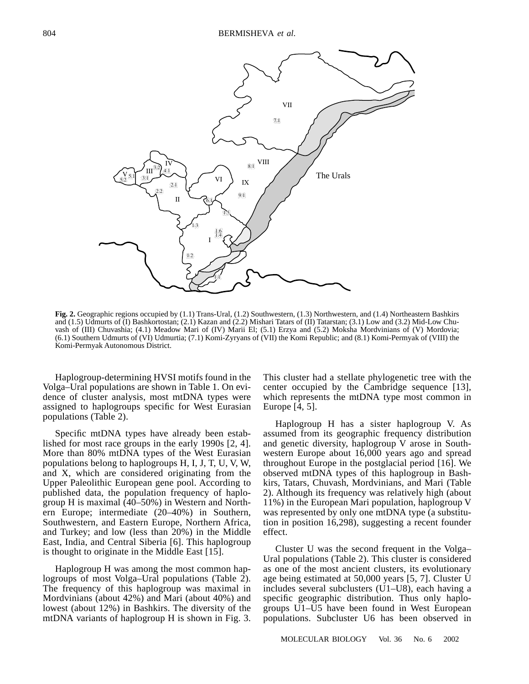

**Fig. 2.** Geographic regions occupied by (1.1) Trans-Ural, (1.2) Southwestern, (1.3) Northwestern, and (1.4) Northeastern Bashkirs and (1.5) Udmurts of (I) Bashkortostan; (2.1) Kazan and (2.2) Mishari Tatars of (II) Tatarstan; (3.1) Low and (3.2) Mid-Low Chuvash of (III) Chuvashia; (4.1) Meadow Mari of (IV) Marii El; (5.1) Erzya and (5.2) Moksha Mordvinians of (V) Mordovia; (6.1) Southern Udmurts of (VI) Udmurtia; (7.1) Komi-Zyryans of (VII) the Komi Republic; and (8.1) Komi-Permyak of (VIII) the Komi-Permyak Autonomous District.

Haplogroup-determining HVSI motifs found in the Volga–Ural populations are shown in Table 1. On evidence of cluster analysis, most mtDNA types were assigned to haplogroups specific for West Eurasian populations (Table 2).

Specific mtDNA types have already been established for most race groups in the early 1990s [2, 4]. More than 80% mtDNA types of the West Eurasian populations belong to haplogroups H, I, J, T, U, V, W, and X, which are considered originating from the Upper Paleolithic European gene pool. According to published data, the population frequency of haplogroup H is maximal (40–50%) in Western and Northern Europe; intermediate (20–40%) in Southern, Southwestern, and Eastern Europe, Northern Africa, and Turkey; and low (less than 20%) in the Middle East, India, and Central Siberia [6]. This haplogroup is thought to originate in the Middle East [15].

Haplogroup H was among the most common haplogroups of most Volga–Ural populations (Table 2). The frequency of this haplogroup was maximal in Mordvinians (about 42%) and Mari (about 40%) and lowest (about 12%) in Bashkirs. The diversity of the mtDNA variants of haplogroup H is shown in Fig. 3.

This cluster had a stellate phylogenetic tree with the center occupied by the Cambridge sequence [13], which represents the mtDNA type most common in Europe [4, 5].

Haplogroup H has a sister haplogroup V. As assumed from its geographic frequency distribution and genetic diversity, haplogroup V arose in Southwestern Europe about 16,000 years ago and spread throughout Europe in the postglacial period [16]. We observed mtDNA types of this haplogroup in Bashkirs, Tatars, Chuvash, Mordvinians, and Mari (Table 2). Although its frequency was relatively high (about 11%) in the European Mari population, haplogroup V was represented by only one mtDNA type (a substitution in position 16,298), suggesting a recent founder effect.

Cluster U was the second frequent in the Volga– Ural populations (Table 2). This cluster is considered as one of the most ancient clusters, its evolutionary age being estimated at 50,000 years [5, 7]. Cluster U includes several subclusters (U1–U8), each having a specific geographic distribution. Thus only haplogroups U1–U5 have been found in West European populations. Subcluster U6 has been observed in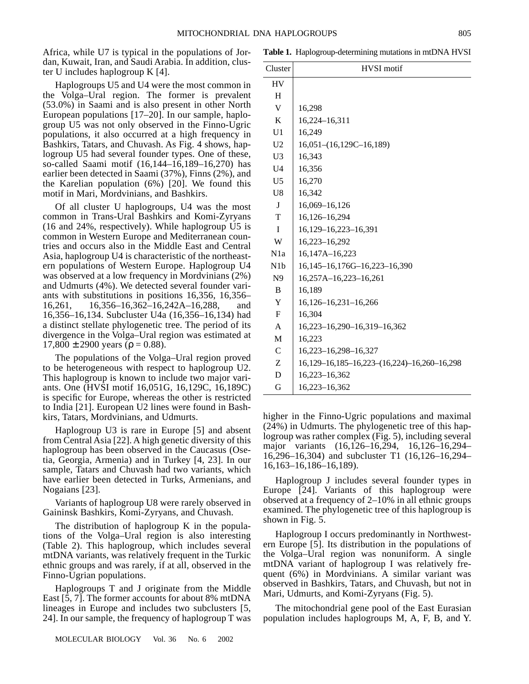Africa, while U7 is typical in the populations of Jordan, Kuwait, Iran, and Saudi Arabia. In addition, cluster U includes haplogroup K [4].

Haplogroups U5 and U4 were the most common in the Volga–Ural region. The former is prevalent (53.0%) in Saami and is also present in other North European populations [17–20]. In our sample, haplogroup U5 was not only observed in the Finno-Ugric populations, it also occurred at a high frequency in Bashkirs, Tatars, and Chuvash. As Fig. 4 shows, haplogroup U5 had several founder types. One of these, so-called Saami motif (16,144–16,189–16,270) has earlier been detected in Saami (37%), Finns (2%), and the Karelian population (6%) [20]. We found this motif in Mari, Mordvinians, and Bashkirs.

Of all cluster U haplogroups, U4 was the most common in Trans-Ural Bashkirs and Komi-Zyryans (16 and 24%, respectively). While haplogroup U5 is common in Western Europe and Mediterranean countries and occurs also in the Middle East and Central Asia, haplogroup U4 is characteristic of the northeastern populations of Western Europe. Haplogroup U4 was observed at a low frequency in Mordvinians (2%) and Udmurts (4%). We detected several founder variants with substitutions in positions 16,356, 16,356– 16,261, 16,356–16,362–16,242A–16,288, and 16,356–16,134. Subcluster U4a (16,356–16,134) had a distinct stellate phylogenetic tree. The period of its divergence in the Volga–Ural region was estimated at  $17,800 \pm 2900$  years ( $\rho = 0.88$ ).

The populations of the Volga–Ural region proved to be heterogeneous with respect to haplogroup U2. This haplogroup is known to include two major variants. One (HVSI motif 16,051G, 16,129C, 16,189C) is specific for Europe, whereas the other is restricted to India [21]. European U2 lines were found in Bashkirs, Tatars, Mordvinians, and Udmurts.

Haplogroup U3 is rare in Europe [5] and absent from Central Asia [22]. A high genetic diversity of this haplogroup has been observed in the Caucasus (Osetia, Georgia, Armenia) and in Turkey [4, 23]. In our sample, Tatars and Chuvash had two variants, which have earlier been detected in Turks, Armenians, and Nogaians [23].

Variants of haplogroup U8 were rarely observed in Gaininsk Bashkirs, Komi-Zyryans, and Chuvash.

The distribution of haplogroup K in the populations of the Volga–Ural region is also interesting (Table 2). This haplogroup, which includes several mtDNA variants, was relatively frequent in the Turkic ethnic groups and was rarely, if at all, observed in the Finno-Ugrian populations.

Haplogroups T and J originate from the Middle East [5, 7]. The former accounts for about 8% mtDNA lineages in Europe and includes two subclusters [5, 24]. In our sample, the frequency of haplogroup T was

**Table 1.** Haplogroup-determining mutations in mtDNA HVSI

| Cluster          | <b>HVSI</b> motif                                           |  |  |  |  |  |  |  |  |
|------------------|-------------------------------------------------------------|--|--|--|--|--|--|--|--|
| HV               |                                                             |  |  |  |  |  |  |  |  |
| H                |                                                             |  |  |  |  |  |  |  |  |
| V                | 16,298                                                      |  |  |  |  |  |  |  |  |
| K                | 16,224–16,311                                               |  |  |  |  |  |  |  |  |
| U <sub>1</sub>   | 16,249                                                      |  |  |  |  |  |  |  |  |
| U <sub>2</sub>   | $16,051-(16,129C-16,189)$                                   |  |  |  |  |  |  |  |  |
| U <sub>3</sub>   | 16,343                                                      |  |  |  |  |  |  |  |  |
| U <sub>4</sub>   | 16,356                                                      |  |  |  |  |  |  |  |  |
| U <sub>5</sub>   | 16,270                                                      |  |  |  |  |  |  |  |  |
| U8               | 16,342                                                      |  |  |  |  |  |  |  |  |
| J                | 16,069-16,126                                               |  |  |  |  |  |  |  |  |
| T                | 16,126-16,294                                               |  |  |  |  |  |  |  |  |
| T                | 16,129-16,223-16,391                                        |  |  |  |  |  |  |  |  |
| W                | 16,223-16,292                                               |  |  |  |  |  |  |  |  |
| N <sub>1</sub> a | 16,147A-16,223                                              |  |  |  |  |  |  |  |  |
| N <sub>1</sub> b | 16,145-16,176G-16,223-16,390                                |  |  |  |  |  |  |  |  |
| N9               | 16,257A-16,223-16,261                                       |  |  |  |  |  |  |  |  |
| B                | 16,189                                                      |  |  |  |  |  |  |  |  |
| Y                | 16, 126 – 16, 231 – 16, 266                                 |  |  |  |  |  |  |  |  |
| F                | 16,304                                                      |  |  |  |  |  |  |  |  |
| A                | 16,223-16,290-16,319-16,362                                 |  |  |  |  |  |  |  |  |
| M                | 16,223                                                      |  |  |  |  |  |  |  |  |
| $\mathsf{C}$     | 16,223-16,298-16,327                                        |  |  |  |  |  |  |  |  |
| Z                | 16, 129 - 16, 185 - 16, 223 - (16, 224) - 16, 260 - 16, 298 |  |  |  |  |  |  |  |  |
| D                | 16,223-16,362                                               |  |  |  |  |  |  |  |  |
| G                | 16,223-16,362                                               |  |  |  |  |  |  |  |  |

higher in the Finno-Ugric populations and maximal (24%) in Udmurts. The phylogenetic tree of this haplogroup was rather complex (Fig. 5), including several major variants (16,126–16,294, 16,126–16,294– 16,296–16,304) and subcluster T1 (16,126–16,294– 16,163–16,186–16,189).

Haplogroup J includes several founder types in Europe [24]. Variants of this haplogroup were observed at a frequency of 2–10% in all ethnic groups examined. The phylogenetic tree of this haplogroup is shown in Fig. 5.

Haplogroup I occurs predominantly in Northwestern Europe [5]. Its distribution in the populations of the Volga–Ural region was nonuniform. A single mtDNA variant of haplogroup I was relatively frequent (6%) in Mordvinians. A similar variant was observed in Bashkirs, Tatars, and Chuvash, but not in Mari, Udmurts, and Komi-Zyryans (Fig. 5).

The mitochondrial gene pool of the East Eurasian population includes haplogroups M, A, F, B, and Y.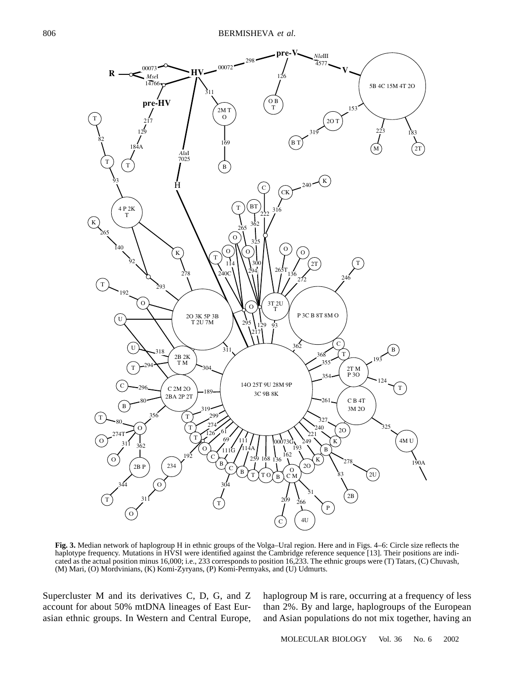

**Fig. 3.** Median network of haplogroup H in ethnic groups of the Volga–Ural region. Here and in Figs. 4–6: Circle size reflects the haplotype frequency. Mutations in HVSI were identified against the Cambridge reference sequence [13]. Their positions are indicated as the actual position minus 16,000; i.e., 233 corresponds to position 16,233. The ethnic groups were (T) Tatars, (C) Chuvash, (M) Mari, (O) Mordvinians, (K) Komi-Zyryans, (P) Komi-Permyaks, and (U) Udmurts.

Supercluster M and its derivatives C, D, G, and Z account for about 50% mtDNA lineages of East Eurasian ethnic groups. In Western and Central Europe,

haplogroup M is rare, occurring at a frequency of less than 2%. By and large, haplogroups of the European and Asian populations do not mix together, having an

806

MOLECULAR BIOLOGY Vol. 36 No. 6 2002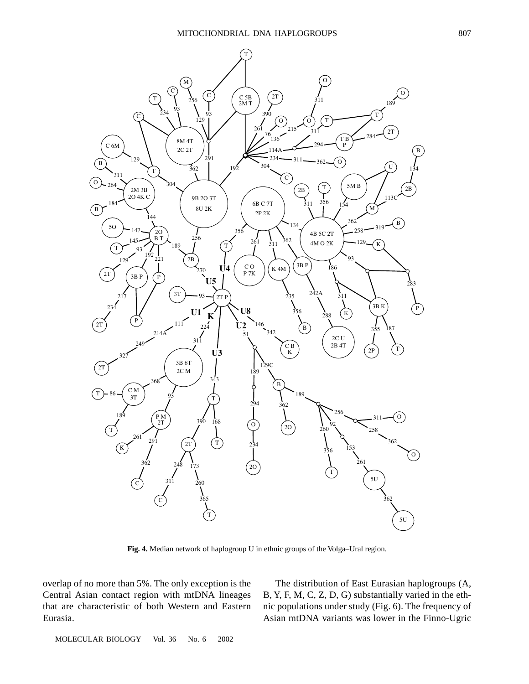

**Fig. 4.** Median network of haplogroup U in ethnic groups of the Volga–Ural region.

overlap of no more than 5%. The only exception is the Central Asian contact region with mtDNA lineages that are characteristic of both Western and Eastern Eurasia.

The distribution of East Eurasian haplogroups (A, B, Y, F, M, C, Z, D, G) substantially varied in the ethnic populations under study (Fig. 6). The frequency of Asian mtDNA variants was lower in the Finno-Ugric

MOLECULAR BIOLOGY Vol. 36 No. 6 2002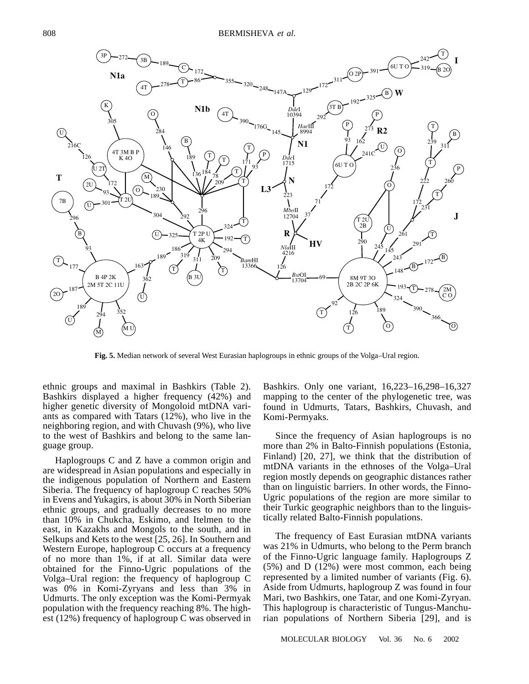

**Fig. 5.** Median network of several West Eurasian haplogroups in ethnic groups of the Volga–Ural region.

ethnic groups and maximal in Bashkirs (Table 2). Bashkirs displayed a higher frequency (42%) and higher genetic diversity of Mongoloid mtDNA variants as compared with Tatars (12%), who live in the neighboring region, and with Chuvash (9%), who live to the west of Bashkirs and belong to the same language group.

Haplogroups C and Z have a common origin and are widespread in Asian populations and especially in the indigenous population of Northern and Eastern Siberia. The frequency of haplogroup C reaches 50% in Evens and Yukagirs, is about 30% in North Siberian ethnic groups, and gradually decreases to no more than 10% in Chukcha, Eskimo, and Itelmen to the east, in Kazakhs and Mongols to the south, and in Selkups and Kets to the west [25, 26]. In Southern and Western Europe, haplogroup C occurs at a frequency of no more than 1%, if at all. Similar data were obtained for the Finno-Ugric populations of the Volga–Ural region: the frequency of haplogroup C was 0% in Komi-Zyryans and less than 3% in Udmurts. The only exception was the Komi-Permyak population with the frequency reaching 8%. The highest (12%) frequency of haplogroup C was observed in Bashkirs. Only one variant, 16,223–16,298–16,327 mapping to the center of the phylogenetic tree, was found in Udmurts, Tatars, Bashkirs, Chuvash, and Komi-Permyaks.

Since the frequency of Asian haplogroups is no more than 2% in Balto-Finnish populations (Estonia, Finland) [20, 27], we think that the distribution of mtDNA variants in the ethnoses of the Volga–Ural region mostly depends on geographic distances rather than on linguistic barriers. In other words, the Finno-Ugric populations of the region are more similar to their Turkic geographic neighbors than to the linguistically related Balto-Finnish populations.

The frequency of East Eurasian mtDNA variants was 21% in Udmurts, who belong to the Perm branch of the Finno-Ugric language family. Haplogroups Z (5%) and D (12%) were most common, each being represented by a limited number of variants (Fig. 6). Aside from Udmurts, haplogroup Z was found in four Mari, two Bashkirs, one Tatar, and one Komi-Zyryan. This haplogroup is characteristic of Tungus-Manchurian populations of Northern Siberia [29], and is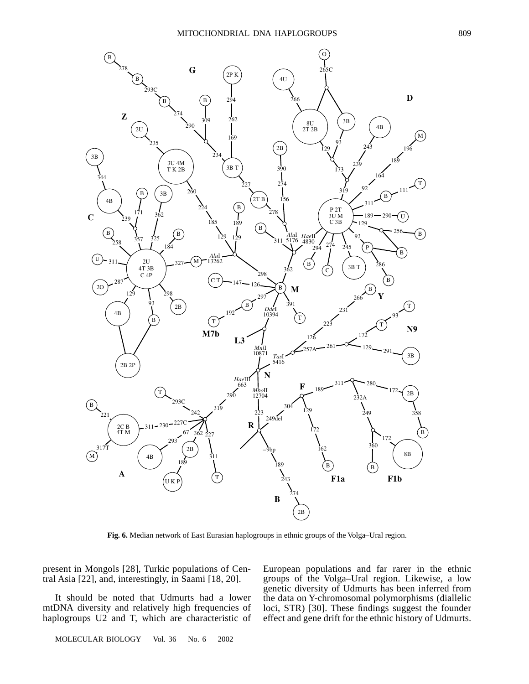

**Fig. 6.** Median network of East Eurasian haplogroups in ethnic groups of the Volga–Ural region.

present in Mongols [28], Turkic populations of Central Asia [22], and, interestingly, in Saami [18, 20].

It should be noted that Udmurts had a lower mtDNA diversity and relatively high frequencies of haplogroups U2 and T, which are characteristic of

European populations and far rarer in the ethnic groups of the Volga–Ural region. Likewise, a low genetic diversity of Udmurts has been inferred from the data on Y-chromosomal polymorphisms (diallelic loci, STR) [30]. These findings suggest the founder effect and gene drift for the ethnic history of Udmurts.

MOLECULAR BIOLOGY Vol. 36 No. 6 2002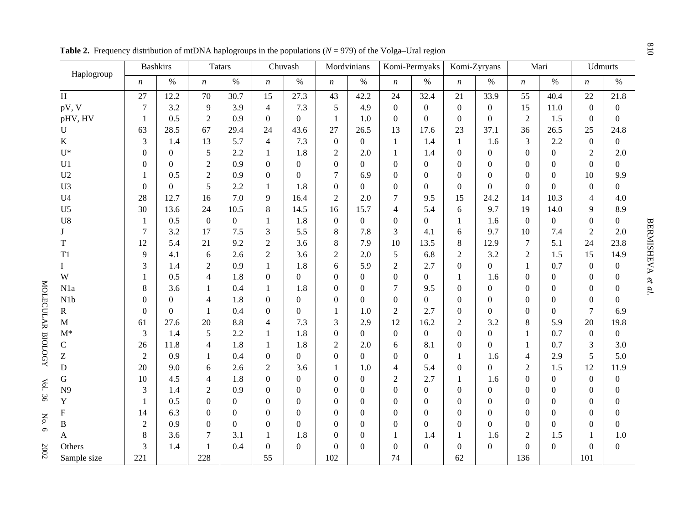| Haplogroup     | <b>Bashkirs</b>  |                | <b>Tatars</b>    |                | Chuvash          |                  | Mordvinians      |                  | Komi-Permyaks    |                  | Komi-Zyryans     |                  | Mari             |                  | <b>Udmurts</b>   |                  |
|----------------|------------------|----------------|------------------|----------------|------------------|------------------|------------------|------------------|------------------|------------------|------------------|------------------|------------------|------------------|------------------|------------------|
|                | $\boldsymbol{n}$ | $\%$           | $\boldsymbol{n}$ | $\%$           | $\boldsymbol{n}$ | $\%$             | $\boldsymbol{n}$ | $\%$             | $\boldsymbol{n}$ | $\%$             | $\boldsymbol{n}$ | $\%$             | $\boldsymbol{n}$ | $\%$             | $\boldsymbol{n}$ | $\%$             |
| H              | 27               | 12.2           | 70               | 30.7           | 15               | 27.3             | 43               | 42.2             | 24               | 32.4             | 21               | 33.9             | 55               | 40.4             | 22               | 21.8             |
| pV, V          | $\overline{7}$   | 3.2            | 9                | 3.9            | $\overline{4}$   | 7.3              | 5                | 4.9              | $\boldsymbol{0}$ | $\boldsymbol{0}$ | $\boldsymbol{0}$ | $\boldsymbol{0}$ | 15               | 11.0             | $\overline{0}$   | $\boldsymbol{0}$ |
| pHV, HV        | $\mathbf{1}$     | 0.5            | $\overline{2}$   | 0.9            | $\Omega$         | $\theta$         | $\mathbf{1}$     | 1.0              | $\boldsymbol{0}$ | $\boldsymbol{0}$ | $\boldsymbol{0}$ | $\boldsymbol{0}$ | $\overline{2}$   | 1.5              | $\Omega$         | $\boldsymbol{0}$ |
| $\mathbf{U}$   | 63               | 28.5           | 67               | 29.4           | 24               | 43.6             | 27               | 26.5             | 13               | 17.6             | 23               | 37.1             | 36               | 26.5             | 25               | 24.8             |
| $\bf K$        | 3                | 1.4            | 13               | 5.7            | $\overline{4}$   | 7.3              | $\overline{0}$   | $\boldsymbol{0}$ | $\mathbf{1}$     | 1.4              | $\mathbf{1}$     | 1.6              | 3                | 2.2              | $\overline{0}$   | $\overline{0}$   |
| $U^*$          | $\mathbf{0}$     | $\Omega$       | 5                | 2.2            | 1                | 1.8              | $\overline{2}$   | 2.0              | 1                | 1.4              | $\overline{0}$   | $\boldsymbol{0}$ | $\Omega$         | $\overline{0}$   | $\overline{2}$   | 2.0              |
| U1             | $\overline{0}$   | $\Omega$       | $\overline{2}$   | 0.9            | $\Omega$         | $\overline{0}$   | $\boldsymbol{0}$ | $\overline{0}$   | $\boldsymbol{0}$ | $\boldsymbol{0}$ | $\overline{0}$   | $\overline{0}$   | $\Omega$         | $\mathbf{0}$     | $\theta$         | $\overline{0}$   |
| U <sub>2</sub> | $\mathbf{1}$     | 0.5            | $\overline{2}$   | 0.9            | $\overline{0}$   | $\mathbf{0}$     | $\overline{7}$   | 6.9              | $\boldsymbol{0}$ | $\boldsymbol{0}$ | $\overline{0}$   | $\boldsymbol{0}$ | $\Omega$         | $\mathbf{0}$     | 10               | 9.9              |
| U <sub>3</sub> | $\Omega$         | $\overline{0}$ | 5                | 2.2            | 1                | 1.8              | $\boldsymbol{0}$ | $\boldsymbol{0}$ | $\boldsymbol{0}$ | $\overline{0}$   | $\boldsymbol{0}$ | $\boldsymbol{0}$ | $\overline{0}$   | $\mathbf{0}$     | $\boldsymbol{0}$ | $\overline{0}$   |
| U <sub>4</sub> | 28               | 12.7           | 16               | 7.0            | 9                | 16.4             | $\overline{2}$   | 2.0              | $\overline{7}$   | 9.5              | 15               | 24.2             | 14               | 10.3             | $\overline{4}$   | 4.0              |
| U <sub>5</sub> | 30               | 13.6           | 24               | 10.5           | 8                | 14.5             | 16               | 15.7             | $\overline{4}$   | 5.4              | 6                | 9.7              | 19               | 14.0             | 9                | 8.9              |
| U8             | $\mathbf{1}$     | 0.5            | $\boldsymbol{0}$ | $\overline{0}$ | $\mathbf{1}$     | 1.8              | $\boldsymbol{0}$ | $\boldsymbol{0}$ | $\boldsymbol{0}$ | $\overline{0}$   | $\mathbf{1}$     | 1.6              | $\overline{0}$   | $\boldsymbol{0}$ | $\boldsymbol{0}$ | $\overline{0}$   |
| $\mathbf{J}$   | $\overline{7}$   | 3.2            | 17               | 7.5            | 3                | 5.5              | 8                | 7.8              | 3                | 4.1              | 6                | 9.7              | 10               | 7.4              | $\overline{2}$   | 2.0              |
| T              | 12               | 5.4            | 21               | 9.2            | $\overline{2}$   | 3.6              | $\,8\,$          | 7.9              | 10               | 13.5             | 8                | 12.9             | 7                | 5.1              | 24               | 23.8             |
| T1             | 9                | 4.1            | 6                | 2.6            | $\overline{2}$   | 3.6              | $\boldsymbol{2}$ | 2.0              | 5                | 6.8              | $\mathbf{2}$     | 3.2              | $\overline{2}$   | 1.5              | 15               | 14.9             |
| L              | 3                | 1.4            | $\overline{2}$   | 0.9            | $\mathbf{1}$     | 1.8              | 6                | 5.9              | $\overline{2}$   | 2.7              | $\overline{0}$   | $\boldsymbol{0}$ | $\mathbf{1}$     | 0.7              | $\overline{0}$   | $\boldsymbol{0}$ |
| W              | $\mathbf{1}$     | 0.5            | 4                | 1.8            | $\Omega$         | $\boldsymbol{0}$ | $\overline{0}$   | $\boldsymbol{0}$ | $\boldsymbol{0}$ | $\overline{0}$   | $\mathbf{1}$     | 1.6              | $\Omega$         | $\boldsymbol{0}$ | $\theta$         | $\boldsymbol{0}$ |
| N1a            | 8                | 3.6            | 1                | 0.4            | $\mathbf{1}$     | 1.8              | $\mathbf{0}$     | $\mathbf{0}$     | $\tau$           | 9.5              | $\overline{0}$   | $\overline{0}$   | $\Omega$         | $\mathbf{0}$     | $\overline{0}$   | $\boldsymbol{0}$ |
| N1b            | $\Omega$         | $\Omega$       | $\overline{4}$   | 1.8            | $\Omega$         | $\Omega$         | $\boldsymbol{0}$ | $\boldsymbol{0}$ | $\boldsymbol{0}$ | $\overline{0}$   | $\boldsymbol{0}$ | $\boldsymbol{0}$ | $\Omega$         | $\boldsymbol{0}$ | $\theta$         | $\overline{0}$   |
| ${\bf R}$      | $\Omega$         | $\overline{0}$ | $\mathbf{1}$     | 0.4            | $\Omega$         | $\boldsymbol{0}$ | 1                | 1.0              | $\overline{2}$   | 2.7              | $\boldsymbol{0}$ | $\boldsymbol{0}$ | $\Omega$         | $\overline{0}$   | 7                | 6.9              |
| $\mathbf M$    | 61               | 27.6           | 20               | 8.8            | $\overline{4}$   | 7.3              | 3                | 2.9              | 12               | 16.2             | $\overline{2}$   | 3.2              | 8                | 5.9              | 20               | 19.8             |
| $M^*$          | 3                | 1.4            | 5                | 2.2            | 1                | 1.8              | $\boldsymbol{0}$ | $\boldsymbol{0}$ | $\boldsymbol{0}$ | $\boldsymbol{0}$ | $\overline{0}$   | $\overline{0}$   | 1                | 0.7              | $\Omega$         | $\overline{0}$   |
| $\mathbf C$    | 26               | 11.8           | $\overline{4}$   | 1.8            | 1                | 1.8              | $\overline{2}$   | 2.0              | 6                | 8.1              | $\boldsymbol{0}$ | $\boldsymbol{0}$ | 1                | 0.7              | 3                | 3.0              |
| Z              | $\overline{2}$   | 0.9            | 1                | 0.4            | $\overline{0}$   | $\boldsymbol{0}$ | $\boldsymbol{0}$ | $\boldsymbol{0}$ | $\boldsymbol{0}$ | $\overline{0}$   | $\mathbf{1}$     | 1.6              | $\overline{4}$   | 2.9              | 5                | 5.0              |
| ${\bf D}$      | 20               | 9.0            | 6                | 2.6            | $\overline{2}$   | 3.6              | $\mathbf{1}$     | 1.0              | $\overline{4}$   | 5.4              | $\boldsymbol{0}$ | $\overline{0}$   | $\overline{2}$   | 1.5              | 12               | 11.9             |
| ${\bf G}$      | 10               | 4.5            | $\overline{4}$   | 1.8            | $\Omega$         | $\theta$         | $\boldsymbol{0}$ | $\boldsymbol{0}$ | $\overline{2}$   | 2.7              | $\mathbf{1}$     | 1.6              | $\Omega$         | $\overline{0}$   | $\Omega$         | $\boldsymbol{0}$ |
| N9             | 3                | 1.4            | $\overline{2}$   | 0.9            | $\overline{0}$   | $\mathbf{0}$     | $\mathbf{0}$     | $\boldsymbol{0}$ | $\mathbf{0}$     | $\boldsymbol{0}$ | $\overline{0}$   | $\overline{0}$   | $\Omega$         | $\boldsymbol{0}$ | $\overline{0}$   | $\boldsymbol{0}$ |
| $\mathbf Y$    | $\mathbf{1}$     | 0.5            | $\boldsymbol{0}$ | $\overline{0}$ | $\Omega$         | $\theta$         | $\theta$         | $\boldsymbol{0}$ | $\boldsymbol{0}$ | $\overline{0}$   | $\boldsymbol{0}$ | $\boldsymbol{0}$ | $\overline{0}$   | $\mathbf{0}$     | $\Omega$         | $\boldsymbol{0}$ |
| $\mathbf{F}$   | 14               | 6.3            | $\Omega$         | $\overline{0}$ | $\Omega$         | $\Omega$         | $\Omega$         | $\mathbf{0}$     | $\overline{0}$   | $\Omega$         | $\overline{0}$   | $\overline{0}$   | $\Omega$         | $\mathbf{0}$     | $\Omega$         | $\overline{0}$   |
| B              | $\overline{2}$   | 0.9            | $\Omega$         | $\Omega$       | $\overline{0}$   | $\mathbf{0}$     | $\mathbf{0}$     | $\mathbf{0}$     | $\boldsymbol{0}$ | $\Omega$         | $\overline{0}$   | $\overline{0}$   | $\Omega$         | $\boldsymbol{0}$ | $\overline{0}$   | $\overline{0}$   |
| A              | 8                | 3.6            | 7                | 3.1            | 1                | 1.8              | $\overline{0}$   | $\mathbf{0}$     | $\mathbf{1}$     | 1.4              | $\mathbf{1}$     | 1.6              | $\overline{2}$   | 1.5              | 1                | 1.0              |
| Others         | $\overline{3}$   | 1.4            | $\mathbf{1}$     | 0.4            | $\overline{0}$   | $\mathbf{0}$     | $\boldsymbol{0}$ | $\overline{0}$   | $\boldsymbol{0}$ | $\Omega$         | $\overline{0}$   | $\overline{0}$   | $\Omega$         | $\mathbf{0}$     | $\overline{0}$   | $\boldsymbol{0}$ |
| Sample size    | 221              |                | 228              |                | 55               |                  | 102              |                  | 74               |                  | 62               |                  | 136              |                  | 101              |                  |

**Table 2.** Frequency distribution of mtDNA haplogroups in the populations (*N* = 979) of the Volga–Ural region

MOLECULAR BIOLOGY MOLECULAR BIOLOGY Vol. 36

No. 6

2002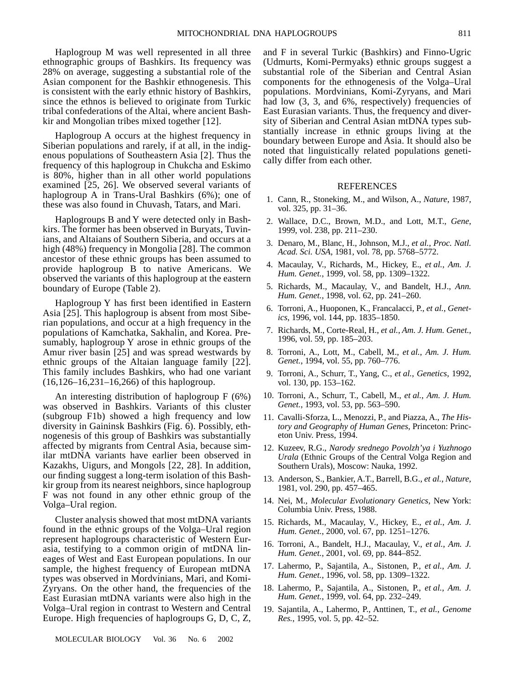Haplogroup M was well represented in all three ethnographic groups of Bashkirs. Its frequency was 28% on average, suggesting a substantial role of the Asian component for the Bashkir ethnogenesis. This is consistent with the early ethnic history of Bashkirs, since the ethnos is believed to originate from Turkic tribal confederations of the Altai, where ancient Bashkir and Mongolian tribes mixed together [12].

Haplogroup A occurs at the highest frequency in Siberian populations and rarely, if at all, in the indigenous populations of Southeastern Asia [2]. Thus the frequency of this haplogroup in Chukcha and Eskimo is 80%, higher than in all other world populations examined [25, 26]. We observed several variants of haplogroup A in Trans-Ural Bashkirs (6%); one of these was also found in Chuvash, Tatars, and Mari.

Haplogroups B and Y were detected only in Bashkirs. The former has been observed in Buryats, Tuvinians, and Altaians of Southern Siberia, and occurs at a high (48%) frequency in Mongolia [28]. The common ancestor of these ethnic groups has been assumed to provide haplogroup B to native Americans. We observed the variants of this haplogroup at the eastern boundary of Europe (Table 2).

Haplogroup Y has first been identified in Eastern Asia [25]. This haplogroup is absent from most Siberian populations, and occur at a high frequency in the populations of Kamchatka, Sakhalin, and Korea. Presumably, haplogroup Y arose in ethnic groups of the Amur river basin [25] and was spread westwards by ethnic groups of the Altaian language family [22]. This family includes Bashkirs, who had one variant (16,126–16,231–16,266) of this haplogroup.

An interesting distribution of haplogroup F (6%) was observed in Bashkirs. Variants of this cluster (subgroup F1b) showed a high frequency and low diversity in Gaininsk Bashkirs (Fig. 6). Possibly, ethnogenesis of this group of Bashkirs was substantially affected by migrants from Central Asia, because similar mtDNA variants have earlier been observed in Kazakhs, Uigurs, and Mongols [22, 28]. In addition, our finding suggest a long-term isolation of this Bashkir group from its nearest neighbors, since haplogroup F was not found in any other ethnic group of the Volga–Ural region.

Cluster analysis showed that most mtDNA variants found in the ethnic groups of the Volga–Ural region represent haplogroups characteristic of Western Eurasia, testifying to a common origin of mtDNA lineages of West and East European populations. In our sample, the highest frequency of European mtDNA types was observed in Mordvinians, Mari, and Komi-Zyryans. On the other hand, the frequencies of the East Eurasian mtDNA variants were also high in the Volga–Ural region in contrast to Western and Central Europe. High frequencies of haplogroups G, D, C, Z,

MOLECULAR BIOLOGY Vol. 36 No. 6 2002

and F in several Turkic (Bashkirs) and Finno-Ugric (Udmurts, Komi-Permyaks) ethnic groups suggest a substantial role of the Siberian and Central Asian components for the ethnogenesis of the Volga–Ural populations. Mordvinians, Komi-Zyryans, and Mari had low  $(3, 3, \text{ and } 6\%, \text{ respectively})$  frequencies of East Eurasian variants. Thus, the frequency and diversity of Siberian and Central Asian mtDNA types substantially increase in ethnic groups living at the boundary between Europe and Asia. It should also be noted that linguistically related populations genetically differ from each other.

#### REFERENCES

- 1. Cann, R., Stoneking, M., and Wilson, A., *Nature*, 1987, vol. 325, pp. 31–36.
- 2. Wallace, D.C., Brown, M.D., and Lott, M.T., *Gene*, 1999, vol. 238, pp. 211–230.
- 3. Denaro, M., Blanc, H., Johnson, M.J., *et al.*, *Proc. Natl. Acad. Sci. USA*, 1981, vol. 78, pp. 5768–5772.
- 4. Macaulay, V., Richards, M., Hickey, E., *et al.*, *Am. J. Hum. Genet.*, 1999, vol. 58, pp. 1309–1322.
- 5. Richards, M., Macaulay, V., and Bandelt, H.J., *Ann. Hum. Genet.*, 1998, vol. 62, pp. 241–260.
- 6. Torroni, A., Huoponen, K., Francalacci, P., *et al.*, *Genetics*, 1996, vol. 144, pp. 1835–1850.
- 7. Richards, M., Corte-Real, H., *et al.*, *Am. J. Hum. Genet.*, 1996, vol. 59, pp. 185–203.
- 8. Torroni, A., Lott, M., Cabell, M., *et al.*, *Am. J. Hum. Genet.*, 1994, vol. 55, pp. 760–776.
- 9. Torroni, A., Schurr, T., Yang, C., *et al.*, *Genetics*, 1992, vol. 130, pp. 153–162.
- 10. Torroni, A., Schurr, T., Cabell, M., *et al.*, *Am. J. Hum. Genet.*, 1993, vol. 53, pp. 563–590.
- 11. Cavalli-Sforza, L., Menozzi, P., and Piazza, A., *The History and Geography of Human Genes*, Princeton: Princeton Univ. Press, 1994.
- 12. Kuzeev, R.G., *Narody srednego Povolzh'ya i Yuzhnogo Urala* (Ethnic Groups of the Central Volga Region and Southern Urals), Moscow: Nauka, 1992.
- 13. Anderson, S., Bankier, A.T., Barrell, B.G., *et al.*, *Nature*, 1981, vol. 290, pp. 457–465.
- 14. Nei, M., *Molecular Evolutionary Genetics*, New York: Columbia Univ. Press, 1988.
- 15. Richards, M., Macaulay, V., Hickey, E., *et al.*, *Am. J. Hum. Genet.*, 2000, vol. 67, pp. 1251–1276.
- 16. Torroni, A., Bandelt, H.J., Macaulay, V., *et al.*, *Am. J. Hum. Genet.*, 2001, vol. 69, pp. 844–852.
- 17. Lahermo, P., Sajantila, A., Sistonen, P., *et al.*, *Am. J. Hum. Genet.*, 1996, vol. 58, pp. 1309–1322.
- 18. Lahermo, P., Sajantila, A., Sistonen, P., *et al.*, *Am. J. Hum. Genet.*, 1999, vol. 64, pp. 232–249.
- 19. Sajantila, A., Lahermo, P., Anttinen, T., *et al.*, *Genome Res.*, 1995, vol. 5, pp. 42–52.